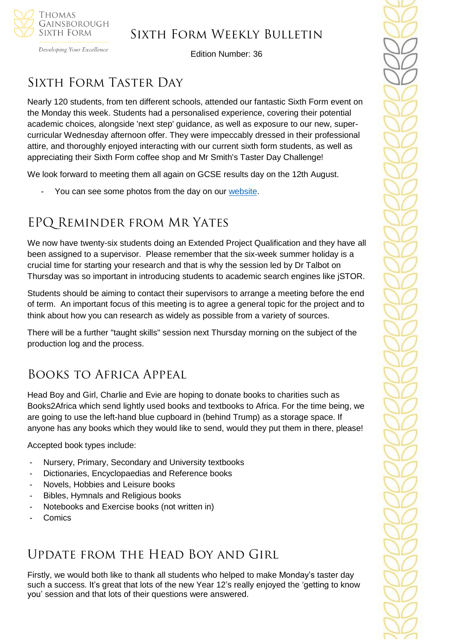

Developing Your Excellence

Edition Number: 36

# SIXTH FORM TASTER DAY

Nearly 120 students, from ten different schools, attended our fantastic Sixth Form event on the Monday this week. Students had a personalised experience, covering their potential academic choices, alongside 'next step' guidance, as well as exposure to our new, supercurricular Wednesday afternoon offer. They were impeccably dressed in their professional attire, and thoroughly enjoyed interacting with our current sixth form students, as well as appreciating their Sixth Form coffee shop and Mr Smith's Taster Day Challenge!

We look forward to meeting them all again on GCSE results day on the 12th August.

You can see some photos from the day on our [website.](https://tgschool.net/news/sixth-form-taster-day)

## EPQ Reminder from Mr Yates

We now have twenty-six students doing an Extended Project Qualification and they have all been assigned to a supervisor. Please remember that the six-week summer holiday is a crucial time for starting your research and that is why the session led by Dr Talbot on Thursday was so important in introducing students to academic search engines like jSTOR.

Students should be aiming to contact their supervisors to arrange a meeting before the end of term. An important focus of this meeting is to agree a general topic for the project and to think about how you can research as widely as possible from a variety of sources.

There will be a further "taught skills" session next Thursday morning on the subject of the production log and the process.

## Books to Africa Appeal

Head Boy and Girl, Charlie and Evie are hoping to donate books to charities such as Books2Africa which send lightly used books and textbooks to Africa. For the time being, we are going to use the left-hand blue cupboard in (behind Trump) as a storage space. If anyone has any books which they would like to send, would they put them in there, please!

Accepted book types include:

- Nursery, Primary, Secondary and University textbooks
- Dictionaries, Encyclopaedias and Reference books
- Novels, Hobbies and Leisure books
- Bibles, Hymnals and Religious books
- Notebooks and Exercise books (not written in)
- **Comics**

## Update from the Head Boy and Girl

Firstly, we would both like to thank all students who helped to make Monday's taster day such a success. It's great that lots of the new Year 12's really enjoyed the 'getting to know you' session and that lots of their questions were answered.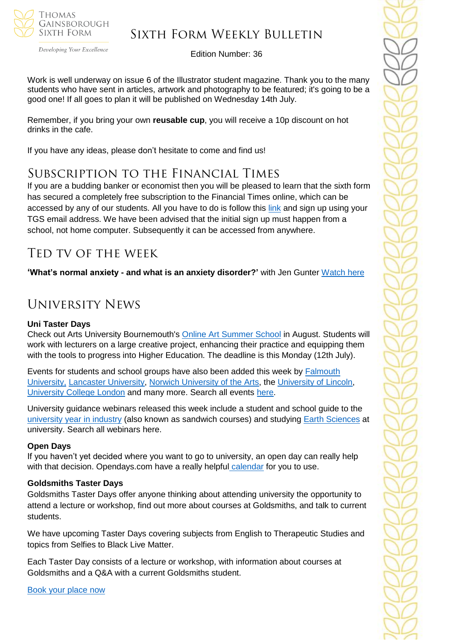

#### Developing Your Excellence

### Sixth Form Weekly Bulletin

Edition Number: 36

Work is well underway on issue 6 of the Illustrator student magazine. Thank you to the many students who have sent in articles, artwork and photography to be featured; it's going to be a good one! If all goes to plan it will be published on Wednesday 14th July.

Remember, if you bring your own **reusable cup**, you will receive a 10p discount on hot drinks in the cafe.

If you have any ideas, please don't hesitate to come and find us!

### Subscription to the Financial Times

If you are a budding banker or economist then you will be pleased to learn that the sixth form has secured a completely free subscription to the Financial Times online, which can be accessed by any of our students. All you have to do is follow this [link](https://enterprise.ft.com/en-gb/services/group-subscriptions/secondary-education/) and sign up using your TGS email address. We have been advised that the initial sign up must happen from a school, not home computer. Subsequently it can be accessed from anywhere.

### Ted tv of the week

**'What's normal anxiety - and what is an anxiety disorder?'** with Jen Gunter [Watch here](https://www.ted.com/talks/jen_gunter_what_s_normal_anxiety_and_what_s_an_anxiety_disorder)

## University News

#### **Uni Taster Days**

Check out Arts University Bournemouth's [Online Art Summer School](https://www.unitasterdays.com/events/event/65756/arts-university-bournemouths-art-summer-school) in August. Students will work with lecturers on a large creative project, enhancing their practice and equipping them with the tools to progress into Higher Education. The deadline is this Monday (12th July).

Events for students and school groups have also been added this week by [Falmouth](https://www.unitasterdays.com/search.aspx?IID=273&Sort=D)  [University,](https://www.unitasterdays.com/search.aspx?IID=273&Sort=D) [Lancaster University,](https://www.unitasterdays.com/search.aspx?IID=136&Sort=D) [Norwich University of the Arts,](https://www.unitasterdays.com/search.aspx?IID=183&Sort=D) the [University of Lincoln,](https://www.unitasterdays.com/search.aspx?IID=325&Sort=D) [University College London](https://www.unitasterdays.com/search.aspx?IID=274&Sort=D) and many more. Search all events [here.](https://www.unitasterdays.com/search.aspx)

University guidance webinars released this week include a student and school guide to the [university year in industry](https://www.unitasterdays.com/ondemand/webinar/129/the-university-year-in-industry) (also known as sandwich courses) and studying [Earth Sciences](https://www.unitasterdays.com/ondemand/webinar/128/earth-sciences) at university. Search all webinars here.

#### **Open Days**

If you haven't yet decided where you want to go to university, an open day can really help with that decision. Opendays.com have a really helpful [calendar](https://www.opendays.com/calendar/) for you to use.

#### **Goldsmiths Taster Days**

Goldsmiths Taster Days offer anyone thinking about attending university the opportunity to attend a lecture or workshop, find out more about courses at Goldsmiths, and talk to current students.

We have upcoming Taster Days covering subjects from English to Therapeutic Studies and topics from Selfies to Black Live Matter.

Each Taster Day consists of a lecture or workshop, with information about courses at Goldsmiths and a Q&A with a current Goldsmiths student.

[Book your place now](https://www.gold.ac.uk/gold-taster-days/taster-day-booking-form/)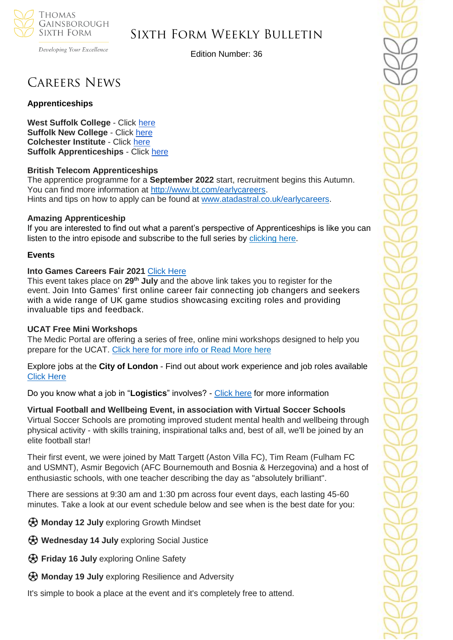

Developing Your Excellence

Edition Number: 36

## Careers News

#### **Apprenticeships**

**West Suffolk College** - Click [here](https://apprenticeships.wsc.ac.uk/) **Suffolk New College** - Click [here](https://suffolknew.justapply.co.uk/index.php?mod=publicpost) **Colchester Institute** - Click [here](https://www.colchester.ac.uk/apprenticeships/vacancies/) **Suffolk Apprenticeships** - Click [here](https://apprenticeshipssuffolk.org/jobs-page/)

#### **British Telecom Apprenticeships**

The apprentice programme for a **September 2022** start, recruitment begins this Autumn. You can find more information at [http://www.bt.com/earlycareers.](http://www.bt.com/earlycareers) Hints and tips on how to apply can be found at [www.atadastral.co.uk/earlycareers.](http://www.atadastral.co.uk/earlycareers)

#### **Amazing Apprenticeship**

If you are interested to find out what a parent's perspective of Apprenticeships is like you can listen to the intro episode and subscribe to the full series by [clicking](https://amazingapprenticeships.us11.list-manage.com/track/click?u=9f89f859eb0be9d437b1414c3&id=c2f1e4d4c1&e=5b7f87d8e0) here.

#### **Events**

#### **Into Games Careers Fair 2021** Click [Here](https://www.eventbrite.co.uk/e/into-games-career-fair-2021-tickets-159674746465)

This event takes place on **29th July** and the above link takes you to register for the event. Join Into Games' first online career fair connecting job changers and seekers with a wide range of UK game studios showcasing exciting roles and providing invaluable tips and feedback.

#### **UCAT Free Mini Workshops**

The Medic Portal are offering a series of free, online mini workshops designed to help you prepare for the UCAT. [Click here for more info](https://www.themedicportal.com/e-learning/webinar-series/ucat-mini-workshops-how-to-answer-challenging-questions/) or [Read](https://myfuturechoice.us17.list-manage.com/track/click?u=3303465fc10ef13ac317fae38&id=9dbb114481&e=57fc790303) More here

Explore jobs at the **City of London** - Find out about work experience and job roles available [Click Here](https://careers.cityoflondon.gov.uk/entry-level-talent/work-experience/)

Do you know what a job in "**Logistics**" involves? - [Click here](https://www.springpod.co.uk/experience/kuehne-nagel-virtual-work-experience?utm_source=Careers&utm_medium=Webpage&utm_campaign=VWEX_2021&utm_id=VWEX) for more information

### **Virtual Football and Wellbeing Event, in association with Virtual Soccer Schools**

Virtual Soccer Schools are promoting improved student mental health and wellbeing through physical activity - with skills training, inspirational talks and, best of all, we'll be joined by an elite football star!

Their first event, we were joined by Matt Targett (Aston Villa FC), Tim Ream (Fulham FC and USMNT), Asmir Begovich (AFC Bournemouth and Bosnia & Herzegovina) and a host of enthusiastic schools, with one teacher describing the day as "absolutely brilliant".

There are sessions at 9:30 am and 1:30 pm across four event days, each lasting 45-60 minutes. Take a look at our event schedule below and see when is the best date for you:

⚽ **Monday 12 July** exploring Growth Mindset

- ⚽ **Wednesday 14 July** exploring Social Justice
- ⚽ **Friday 16 July** exploring Online Safety
- ⚽ **Monday 19 July** exploring Resilience and Adversity

It's simple to book a place at the event and it's completely free to attend.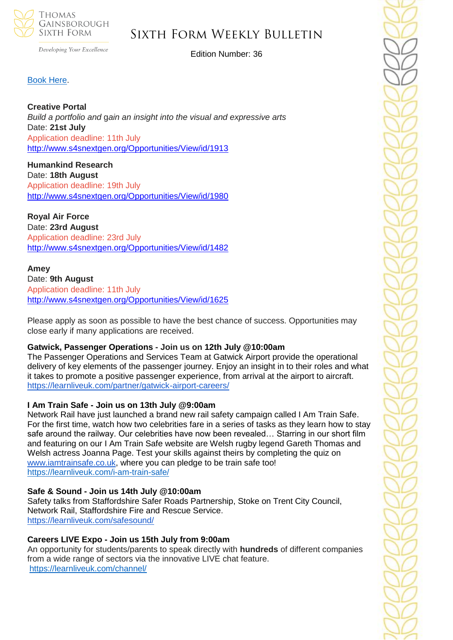

Developing Your Excellence

Edition Number: 36

#### [Book Here.](https://www.edukit.org.uk/book-vfw?SQF_CAMPAIGN=ek-vssweek-c1-300621)

#### **Creative Portal**

*Build a portfolio and* g*ain an insight into the visual and expressive arts* Date: **21st July** Application deadline: 11th July <http://www.s4snextgen.org/Opportunities/View/id/1913>

**Humankind Research** Date: **18th August** Application deadline: 19th July <http://www.s4snextgen.org/Opportunities/View/id/1980>

#### **Royal Air Force**

Date: **23rd August** Application deadline: 23rd July <http://www.s4snextgen.org/Opportunities/View/id/1482>

#### **Amey** Date: **9th August** Application deadline: 11th July <http://www.s4snextgen.org/Opportunities/View/id/1625>

Please apply as soon as possible to have the best chance of success. Opportunities may close early if many applications are received.

#### **Gatwick, Passenger Operations - Join us on 12th July @10:00am**

The Passenger Operations and Services Team at Gatwick Airport provide the operational delivery of key elements of the passenger journey. Enjoy an insight in to their roles and what it takes to promote a positive passenger experience, from arrival at the airport to aircraft. <https://learnliveuk.com/partner/gatwick-airport-careers/>

#### **I Am Train Safe - Join us on 13th July @9:00am**

Network Rail have just launched a brand new rail safety campaign called I Am Train Safe. For the first time, watch how two celebrities fare in a series of tasks as they learn how to stay safe around the railway. Our celebrities have now been revealed… Starring in our short film and featuring on our I Am Train Safe website are Welsh rugby legend Gareth Thomas and Welsh actress Joanna Page. Test your skills against theirs by completing the quiz o[n](http://www.iamtrainsafe.co.uk/) [www.iamtrainsafe.co.uk,](http://www.iamtrainsafe.co.uk/) where you can pledge to be train safe too! <https://learnliveuk.com/i-am-train-safe/>

#### **Safe & Sound - Join us 14th July @10:00am**

Safety talks from Staffordshire Safer Roads Partnership, Stoke on Trent City Council, Network Rail, Staffordshire Fire and Rescue Service. <https://learnliveuk.com/safesound/>

#### **Careers LIVE Expo - Join us 15th July from 9:00am**

An opportunity for students/parents to speak directly with **hundreds** of different companies from a wide range of sectors via the innovative LIVE chat feature. <https://learnliveuk.com/channel/>